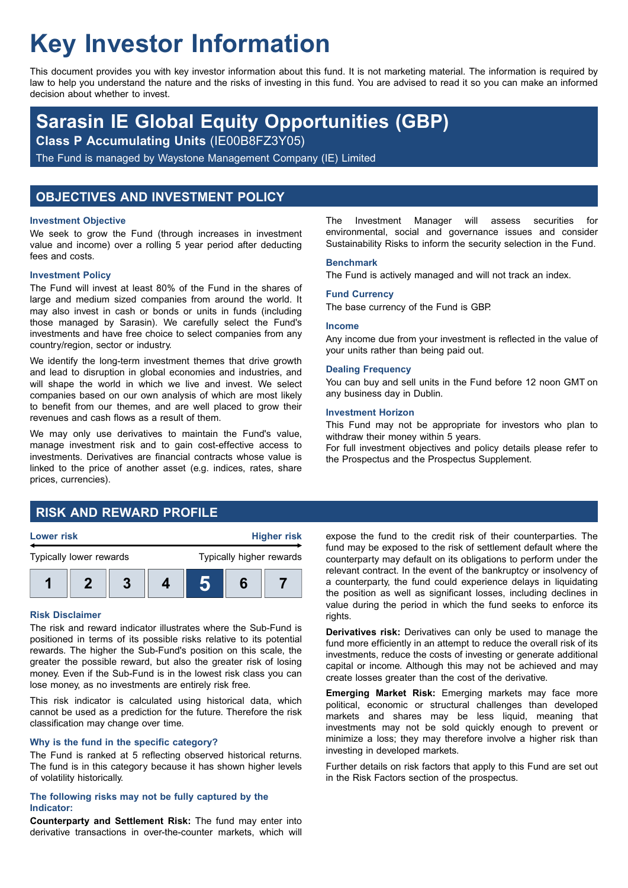# **Key Investor Information**

This document provides you with key investor information about this fund. It is not marketing material. The information is required by law to help you understand the nature and the risks of investing in this fund. You are advised to read it so you can make an informed decision about whether to invest.

## **Sarasin IE Global Equity Opportunities (GBP)**

**Class P Accumulating Units** (IE00B8FZ3Y05)

The Fund is managed by Waystone Management Company (IE) Limited

## **OBJECTIVES AND INVESTMENT POLICY**

#### **Investment Objective**

We seek to grow the Fund (through increases in investment value and income) over a rolling 5 year period after deducting fees and costs.

#### **Investment Policy**

The Fund will invest at least 80% of the Fund in the shares of large and medium sized companies from around the world. It may also invest in cash or bonds or units in funds (including those managed by Sarasin). We carefully select the Fund's investments and have free choice to select companies from any country/region, sector or industry.

We identify the long-term investment themes that drive growth and lead to disruption in global economies and industries, and will shape the world in which we live and invest. We select companies based on our own analysis of which are most likely to benefit from our themes, and are well placed to grow their revenues and cash flows as a result of them.

We may only use derivatives to maintain the Fund's value, manage investment risk and to gain cost-effective access to investments. Derivatives are financial contracts whose value is linked to the price of another asset (e.g. indices, rates, share prices, currencies).

#### The Investment Manager will assess securities for environmental, social and governance issues and consider Sustainability Risks to inform the security selection in the Fund.

#### **Benchmark**

The Fund is actively managed and will not track an index.

## **Fund Currency**

The base currency of the Fund is GBP.

#### **Income**

Any income due from your investment is reflected in the value of your units rather than being paid out.

#### **Dealing Frequency**

You can buy and sell units in the Fund before 12 noon GMT on any business day in Dublin.

#### **Investment Horizon**

This Fund may not be appropriate for investors who plan to withdraw their money within 5 years.

For full investment objectives and policy details please refer to the Prospectus and the Prospectus Supplement.

## **RISK AND REWARD PROFILE**



#### **Risk Disclaimer**

The risk and reward indicator illustrates where the Sub-Fund is positioned in terms of its possible risks relative to its potential rewards. The higher the Sub-Fund's position on this scale, the greater the possible reward, but also the greater risk of losing money. Even if the Sub-Fund is in the lowest risk class you can lose money, as no investments are entirely risk free.

This risk indicator is calculated using historical data, which cannot be used as a prediction for the future. Therefore the risk classification may change over time.

#### **Why is the fund in the specific category?**

The Fund is ranked at 5 reflecting observed historical returns. The fund is in this category because it has shown higher levels of volatility historically.

#### **The following risks may not be fully captured by the Indicator:**

**Counterparty and Settlement Risk:** The fund may enter into derivative transactions in over-the-counter markets, which will expose the fund to the credit risk of their counterparties. The fund may be exposed to the risk of settlement default where the counterparty may default on its obligations to perform under the relevant contract. In the event of the bankruptcy or insolvency of a counterparty, the fund could experience delays in liquidating the position as well as significant losses, including declines in value during the period in which the fund seeks to enforce its rights.

**Derivatives risk:** Derivatives can only be used to manage the fund more efficiently in an attempt to reduce the overall risk of its investments, reduce the costs of investing or generate additional capital or income. Although this may not be achieved and may create losses greater than the cost of the derivative.

**Emerging Market Risk:** Emerging markets may face more political, economic or structural challenges than developed markets and shares may be less liquid, meaning that investments may not be sold quickly enough to prevent or minimize a loss; they may therefore involve a higher risk than investing in developed markets.

Further details on risk factors that apply to this Fund are set out in the Risk Factors section of the prospectus.